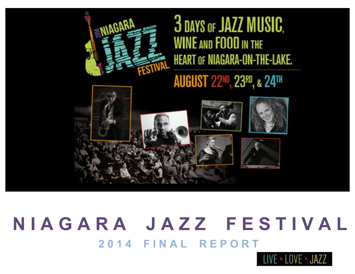

# 3 DAYS OF JAZZ MUSIC. **WINE AND FOOD IN THE HEART OF NIAGARA-ON-THE-LAKE.**

## **AUGUST 22ND, 23RD, & 24TH**



# **2 0 1 4 F I N A L R E P O R T N I A G A R A J A Z Z F E S T I V A L**

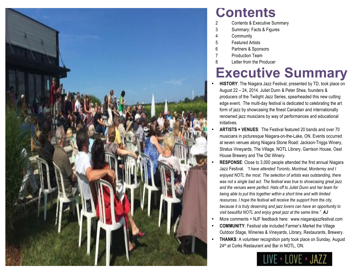

### **Contents**

- 2 Contents & Executive Summary
- 3 Summary: Facts & Figures
- 4 Community
- 5 Featured Artists
- 6 Partners & Sponsors
- 7 Production Team
- 8 Letter from the Producer

### **Executive Summary**

- **HISTORY**: The Niagara Jazz Festival, presented by TD, took place on August 22 – 24, 2014. Juliet Dunn & Peter Shea, founders & producers of the Twilight Jazz Series, spearheaded this new cutting edge event. The multi-day festival is dedicated to celebrating the art form of jazz by showcasing the finest Canadian and internationally renowned jazz musicians by way of performances and educational initiatives.
- **ARTISTS + VENUES**: The Festival featured 20 bands and over 70 musicians in picturesque Niagara-on-the-Lake, ON. Events occurred at seven venues along Niagara Stone Road: Jackson-Triggs Winery, Stratus Vineyards, The Village, NOTL Library, Garrison House, Oast House Brewery and The Old Winery.
- **RESPONSE**: Close to 3,000 people attended the first annual Niagara Jazz Festival*. "I have attended Toronto, Montreal, Monterrey and I enjoyed NOTL the most. The selection of artists was outstanding, there was not a single bad act. The festival was true to showcasing great jazz and the venues were perfect. Hats off to Juliet Dunn and her team for being able to put this together within a short time and with limited resources. I hope the festival will receive the support from the city, because it is truly deserving and jazz lovers can have an opportunity to visit beautiful NOTL and enjoy great jazz at the same time." AJ*
- More comments + NJF feedback here: www.niagarajazzfestival.com
- **COMMUNITY**: Festival site included Farmer's Market the Village Outdoor Stage, Wineries & Vineyards, Library, Restaurants, Brewery.
- **THANKS**: A volunteer recognition party took place on Sunday, August 24<sup>th</sup> at Corks Restaurant and Bar in NOTL, ON.

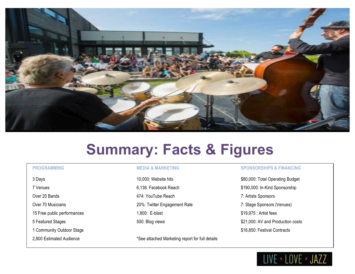

## **Summary: Facts & Figures**

7 Venues **6,136: Facebook Reach 6,136: Facebook Reach** \$190,000: In-Kind Sponsorship Over 20 Bands **Accord 20 Bands** 474: YouTube Reach **7: Artists Sponsors** Over 70 Musicians **20Weither Engagement Rate** 7: Stage Sponsors (Venues) 7: Stage Sponsors (Venues) 15 Free public performances and the state of the 1,800: E-blast \$19,975 : Artist fees

2,800 Estimated Audience \*See attached Marketing report for full details

### **PROGRAMMING MEDIA & MARKETING SPONSORSHIPS & FINANCING**

3 Days **10,000:** Website hits **10,000:** Website hits **\$80,000:** Total Operating Budget 5 Featured Stages 500: Blog views \$21,000: AV and Production costs 1 Community Outdoor Stage **\$16,850:** Festival Contracts

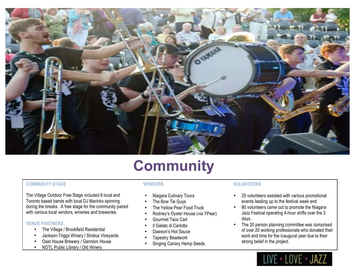

## **Community**

### **COMMUNITY STAGE VENDORS VOLUNTEERS**

The Village Outdoor Free Stage included 6 local and Toronto based bands with local DJ Marinko spinning during the breaks. A free stage for the community paired with various local vendors, wineries and breweries.

### **VENUE PARTNERS**

- The Village / Brookfield Residential
- Jackson-Triggs Winery / Stratus Vineyards
- Oast House Brewery / Garrsion House
- NOTL Public Library / Old Winery

- Niagara Culinary Tours
- The Bow Tie Guys
- The Yellow Pear Food Truck
- Rodney's Oyster House (via YPear)
- Gourmet Taco Cart
- Il Gelato di Carlotta
- Dawson's Hot Sauce
- Tapestry Beadwork
- Singing Canary Hemp Seeds

- 25 volunteers assisted with various promotional events leading up to the festival week end
- 80 volunteers came out to promote the Niagara Jazz Festival operating 4-hour shifts over the 3 days.
- The 20 person planning committee was comprised of over 20 working professionals who donated their work and time for the inaugural year due to their strong belief in the project.

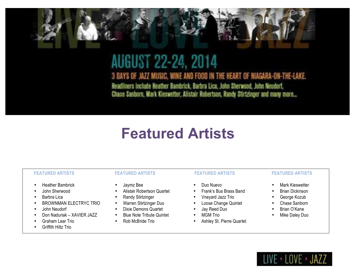### **AUGUST 22-24, 2014** 3 DAYS OF JAZZ MUSIC, WINE AND FOOD IN THE HEART OF NIAGARA-ON-THE-LAKE. Headliners include Heather Bambrick, Barbra Lica, John Sherwood, John Neudorf,

Chase Sanborn, Mark Kieswetter, Alistair Robertson, Randy Stirtzinger and many more...

## **Featured Artists**

- Heather Bambrick
- John Sherwood
- Barbra Lica
- BROWNMAN ELECTRYC TRIO
- John Neudorf
- Don Naduriak XAVIER JAZZ
- Graham Lear Trio
- Griffith Hiltz Trio

- Jaymz Bee
- Alistair Robertson Quartet
- Randy Stirtzinger
- Warren Stirtzinger Duo
- Dixie Demons Quartet
- Blue Note Tribute Quintet
- Rob McBride Trio

- Duo Nuevo
- Frank's Bus Brass Band
- Vneyard Jazz Trio
- Loose Change Quintet
- Jay Reed Duo
- MGM Trio
- Ashley St. Pierre Quartet

### **FEATURED ARTISTS FEATURED ARTISTS FEATURED ARTISTS FEATURED ARTISTS**

- Mark Kieswetter
- Brian Dickinson
- George Kozub
- Chase Sanborn
- Brian O'Kane
- Mike Daley Duo

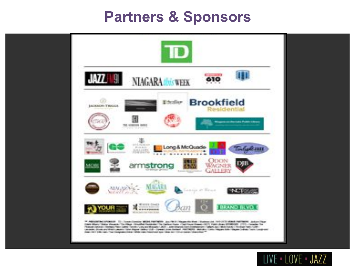### **Partners & Sponsors**



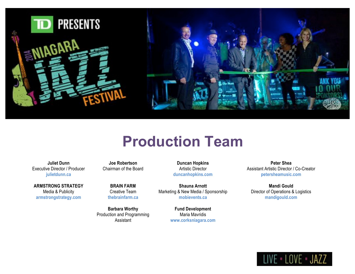

### **Production Team**

**Juliet Dunn** Executive Director / Producer **julietdunn.ca**

**ARMSTRONG STRATEGY** Media & Publicity **armstrongstrategy.com**

**Joe Robertson** Chairman of the Board

**BRAIN FARM** Creative Team **thebrainfarm.ca**

**Barbara Worthy** Production and Programming Assistant

**Duncan Hopkins** Artistic Director **duncanhopkins.com**

**Shauna Arnott** Marketing & New Media / Sponsorship **mobievents.ca**

> **Fund Development** Maria Mavridis **www.corksniagara.com**

**Peter Shea** Assistant Artistic Director / Co-Creator **petersheamusic.com**

**Mandi Gould** Director of Operations & Logistics **mandigould.com**